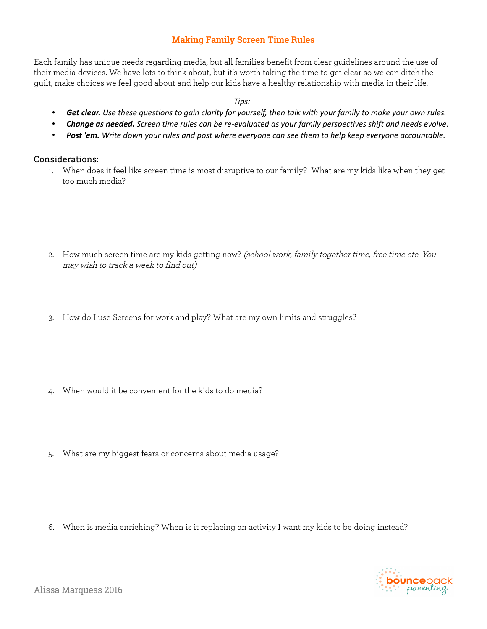# **Making Family Screen Time Rules**

Each family has unique needs regarding media, but all families benefit from clear guidelines around the use of their media devices. We have lots to think about, but it's worth taking the time to get clear so we can ditch the guilt, make choices we feel good about and help our kids have a healthy relationship with media in their life.

#### *Tips:*

- *Get clear. Use these questions to gain clarity for yourself, then talk with your family to make your own rules.*
- *Change as needed. Screen time rules can be re-evaluated as your family perspectives shift and needs evolve.*
- *Post 'em. Write down your rules and post where everyone can see them to help keep everyone accountable.*

Considerations:

1. When does it feel like screen time is most disruptive to our family? What are my kids like when they get too much media?

- 2. How much screen time are my kids getting now? (school work, family together time, free time etc. You may wish to track a week to find out)
- 3. How do I use Screens for work and play? What are my own limits and struggles?

- 4. When would it be convenient for the kids to do media?
- 5. What are my biggest fears or concerns about media usage?

6. When is media enriching? When is it replacing an activity I want my kids to be doing instead?

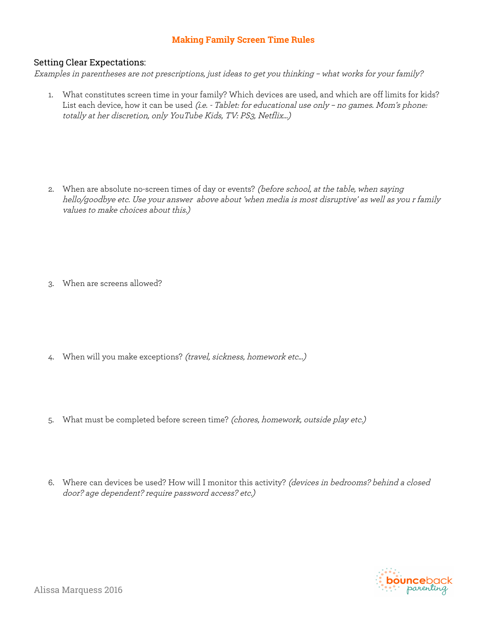# **Making Family Screen Time Rules**

## Setting Clear Expectations:

Examples in parentheses are not prescriptions, just ideas to get you thinking – what works for your family?

- 1. What constitutes screen time in your family? Which devices are used, and which are off limits for kids? List each device, how it can be used (i.e. - Tablet: for educational use only - no games. Mom's phone: totally at her discretion, only YouTube Kids, TV: PS3, Netflix...)
- 2. When are absolute no-screen times of day or events? (before school, at the table, when saying hello/goodbye etc. Use your answer above about 'when media is most disruptive' as well as you r family values to make choices about this.)

3. When are screens allowed?

- 4. When will you make exceptions? (travel, sickness, homework etc...)
- 5. What must be completed before screen time? (chores, homework, outside play etc.)
- 6. Where can devices be used? How will I monitor this activity? (devices in bedrooms? behind a closed door? age dependent? require password access? etc.)